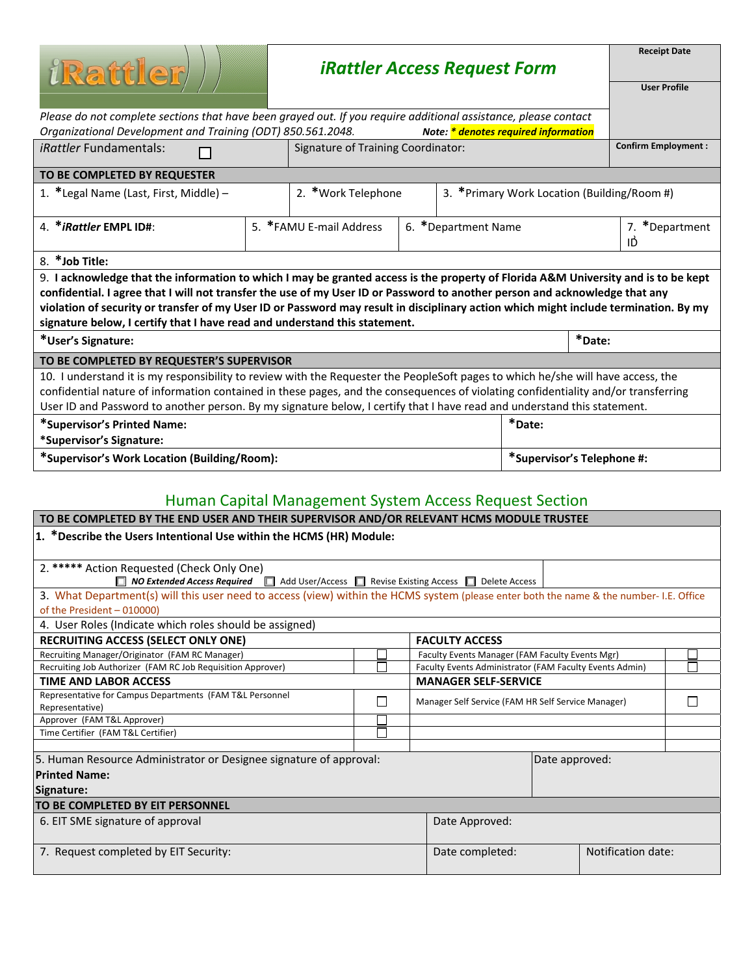| <i>i</i> Rattler                                                                                                                     | <b>iRattler Access Request Form</b> |                                           |                     |                                              |                            |                            | <b>Receipt Date</b>  |  |  |
|--------------------------------------------------------------------------------------------------------------------------------------|-------------------------------------|-------------------------------------------|---------------------|----------------------------------------------|----------------------------|----------------------------|----------------------|--|--|
|                                                                                                                                      |                                     |                                           |                     |                                              |                            |                            | <b>User Profile</b>  |  |  |
| Please do not complete sections that have been grayed out. If you require additional assistance, please contact                      |                                     |                                           |                     |                                              |                            |                            |                      |  |  |
| Organizational Development and Training (ODT) 850.561.2048.                                                                          |                                     |                                           |                     | Note: * denotes required information         |                            |                            |                      |  |  |
| <i>iRattler</i> Fundamentals:                                                                                                        |                                     | <b>Signature of Training Coordinator:</b> |                     |                                              |                            | <b>Confirm Employment:</b> |                      |  |  |
| TO BE COMPLETED BY REQUESTER                                                                                                         |                                     |                                           |                     |                                              |                            |                            |                      |  |  |
| 1. *Legal Name (Last, First, Middle) -                                                                                               |                                     | 2. *Work Telephone                        |                     | 3. * Primary Work Location (Building/Room #) |                            |                            |                      |  |  |
| 4. * iRattler EMPL ID#:                                                                                                              |                                     | 5. *FAMU E-mail Address                   | 6. *Department Name |                                              |                            |                            | 7. *Department<br>ID |  |  |
| 8. *Job Title:                                                                                                                       |                                     |                                           |                     |                                              |                            |                            |                      |  |  |
| 9. I acknowledge that the information to which I may be granted access is the property of Florida A&M University and is to be kept   |                                     |                                           |                     |                                              |                            |                            |                      |  |  |
| confidential. I agree that I will not transfer the use of my User ID or Password to another person and acknowledge that any          |                                     |                                           |                     |                                              |                            |                            |                      |  |  |
| violation of security or transfer of my User ID or Password may result in disciplinary action which might include termination. By my |                                     |                                           |                     |                                              |                            |                            |                      |  |  |
| signature below, I certify that I have read and understand this statement.                                                           |                                     |                                           |                     |                                              |                            |                            |                      |  |  |
| *User's Signature:                                                                                                                   |                                     |                                           |                     |                                              |                            | *Date:                     |                      |  |  |
| TO BE COMPLETED BY REQUESTER'S SUPERVISOR                                                                                            |                                     |                                           |                     |                                              |                            |                            |                      |  |  |
| 10. I understand it is my responsibility to review with the Requester the PeopleSoft pages to which he/she will have access, the     |                                     |                                           |                     |                                              |                            |                            |                      |  |  |
| confidential nature of information contained in these pages, and the consequences of violating confidentiality and/or transferring   |                                     |                                           |                     |                                              |                            |                            |                      |  |  |
| User ID and Password to another person. By my signature below, I certify that I have read and understand this statement.             |                                     |                                           |                     |                                              |                            |                            |                      |  |  |
| *Date:<br>*Supervisor's Printed Name:                                                                                                |                                     |                                           |                     |                                              |                            |                            |                      |  |  |
| *Supervisor's Signature:                                                                                                             |                                     |                                           |                     |                                              |                            |                            |                      |  |  |
| *Supervisor's Work Location (Building/Room):                                                                                         |                                     |                                           |                     |                                              | *Supervisor's Telephone #: |                            |                      |  |  |

## Human Capital Management System Access Request Section

| TO BE COMPLETED BY THE END USER AND THEIR SUPERVISOR AND/OR RELEVANT HCMS MODULE TRUSTEE                                                                              |                             |  |                                                         |                                                    |  |  |  |  |
|-----------------------------------------------------------------------------------------------------------------------------------------------------------------------|-----------------------------|--|---------------------------------------------------------|----------------------------------------------------|--|--|--|--|
| 1. *Describe the Users Intentional Use within the HCMS (HR) Module:                                                                                                   |                             |  |                                                         |                                                    |  |  |  |  |
| 2. ***** Action Requested (Check Only One)<br>Г<br><b>NO Extended Access Required</b> $\Box$ Add User/Access $\Box$ Revise Existing Access $\Box$ Delete Access       |                             |  |                                                         |                                                    |  |  |  |  |
| 3. What Department(s) will this user need to access (view) within the HCMS system (please enter both the name & the number- I.E. Office<br>of the President - 010000) |                             |  |                                                         |                                                    |  |  |  |  |
| 4. User Roles (Indicate which roles should be assigned)                                                                                                               |                             |  |                                                         |                                                    |  |  |  |  |
| <b>RECRUITING ACCESS (SELECT ONLY ONE)</b>                                                                                                                            | <b>FACULTY ACCESS</b>       |  |                                                         |                                                    |  |  |  |  |
| Recruiting Manager/Originator (FAM RC Manager)                                                                                                                        |                             |  | Faculty Events Manager (FAM Faculty Events Mgr)         |                                                    |  |  |  |  |
| Recruiting Job Authorizer (FAM RC Job Requisition Approver)                                                                                                           |                             |  | Faculty Events Administrator (FAM Faculty Events Admin) |                                                    |  |  |  |  |
| <b>TIME AND LABOR ACCESS</b>                                                                                                                                          | <b>MANAGER SELF-SERVICE</b> |  |                                                         |                                                    |  |  |  |  |
| Representative for Campus Departments (FAM T&L Personnel<br>Representative)                                                                                           |                             |  |                                                         | Manager Self Service (FAM HR Self Service Manager) |  |  |  |  |
| Approver (FAM T&L Approver)                                                                                                                                           |                             |  |                                                         |                                                    |  |  |  |  |
| Time Certifier (FAM T&L Certifier)                                                                                                                                    |                             |  |                                                         |                                                    |  |  |  |  |
| 5. Human Resource Administrator or Designee signature of approval:<br>Date approved:<br><b>Printed Name:</b><br>Signature:                                            |                             |  |                                                         |                                                    |  |  |  |  |
| TO BE COMPLETED BY EIT PERSONNEL                                                                                                                                      |                             |  |                                                         |                                                    |  |  |  |  |
| 6. EIT SME signature of approval                                                                                                                                      | Date Approved:              |  |                                                         |                                                    |  |  |  |  |
| 7. Request completed by EIT Security:                                                                                                                                 | Date completed:             |  | Notification date:                                      |                                                    |  |  |  |  |